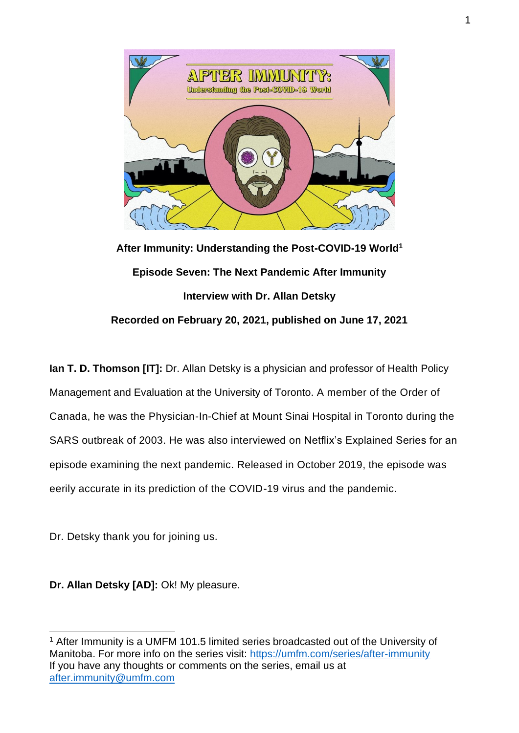

**After Immunity: Understanding the Post-COVID-19 World<sup>1</sup> Episode Seven: The Next Pandemic After Immunity Interview with Dr. Allan Detsky Recorded on February 20, 2021, published on June 17, 2021**

**Ian T. D. Thomson [IT]:** Dr. Allan Detsky is a physician and professor of Health Policy Management and Evaluation at the University of Toronto. A member of the Order of Canada, he was the Physician-In-Chief at Mount Sinai Hospital in Toronto during the SARS outbreak of 2003. He was also interviewed on Netflix's Explained Series for an episode examining the next pandemic. Released in October 2019, the episode was eerily accurate in its prediction of the COVID-19 virus and the pandemic.

Dr. Detsky thank you for joining us.

**Dr. Allan Detsky [AD]:** Ok! My pleasure.

<sup>&</sup>lt;sup>1</sup> After Immunity is a UMFM 101.5 limited series broadcasted out of the University of Manitoba. For more info on the series visit:<https://umfm.com/series/after-immunity> If you have any thoughts or comments on the series, email us at [after.immunity@umfm.com](mailto:after.immunity@umfm.com)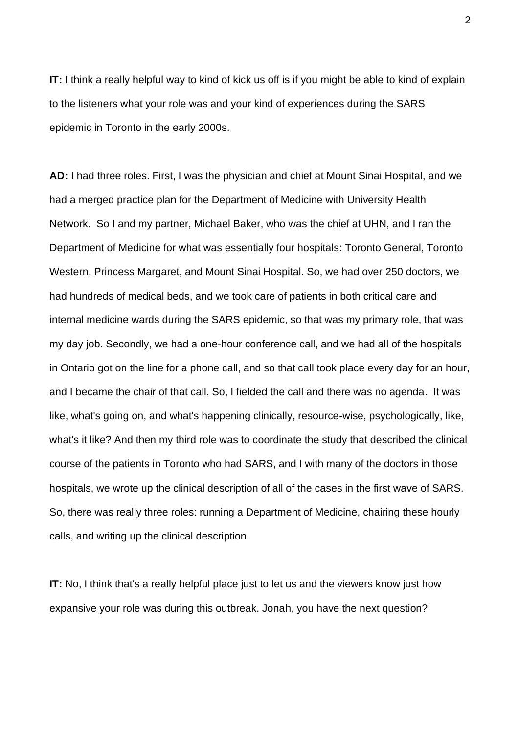**IT:** I think a really helpful way to kind of kick us off is if you might be able to kind of explain to the listeners what your role was and your kind of experiences during the SARS epidemic in Toronto in the early 2000s.

**AD:** I had three roles. First, I was the physician and chief at Mount Sinai Hospital, and we had a merged practice plan for the Department of Medicine with University Health Network. So I and my partner, Michael Baker, who was the chief at UHN, and I ran the Department of Medicine for what was essentially four hospitals: Toronto General, Toronto Western, Princess Margaret, and Mount Sinai Hospital. So, we had over 250 doctors, we had hundreds of medical beds, and we took care of patients in both critical care and internal medicine wards during the SARS epidemic, so that was my primary role, that was my day job. Secondly, we had a one-hour conference call, and we had all of the hospitals in Ontario got on the line for a phone call, and so that call took place every day for an hour, and I became the chair of that call. So, I fielded the call and there was no agenda. It was like, what's going on, and what's happening clinically, resource-wise, psychologically, like, what's it like? And then my third role was to coordinate the study that described the clinical course of the patients in Toronto who had SARS, and I with many of the doctors in those hospitals, we wrote up the clinical description of all of the cases in the first wave of SARS. So, there was really three roles: running a Department of Medicine, chairing these hourly calls, and writing up the clinical description.

**IT:** No, I think that's a really helpful place just to let us and the viewers know just how expansive your role was during this outbreak. Jonah, you have the next question?

2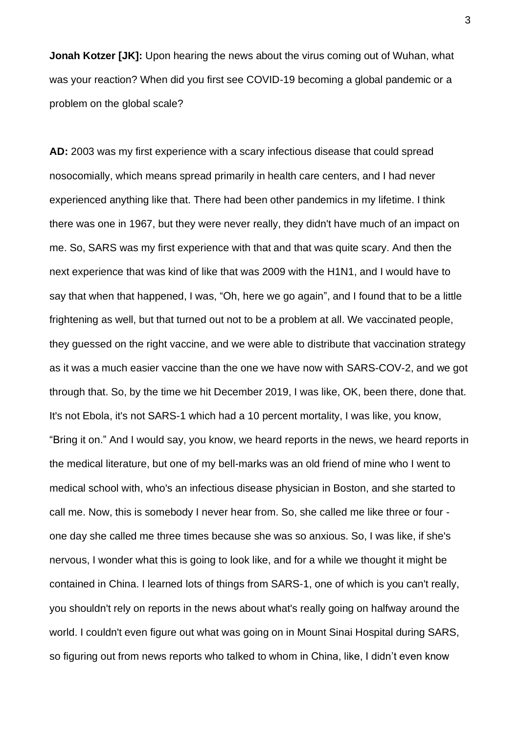**Jonah Kotzer [JK]:** Upon hearing the news about the virus coming out of Wuhan, what was your reaction? When did you first see COVID-19 becoming a global pandemic or a problem on the global scale?

**AD:** 2003 was my first experience with a scary infectious disease that could spread nosocomially, which means spread primarily in health care centers, and I had never experienced anything like that. There had been other pandemics in my lifetime. I think there was one in 1967, but they were never really, they didn't have much of an impact on me. So, SARS was my first experience with that and that was quite scary. And then the next experience that was kind of like that was 2009 with the H1N1, and I would have to say that when that happened, I was, "Oh, here we go again", and I found that to be a little frightening as well, but that turned out not to be a problem at all. We vaccinated people, they guessed on the right vaccine, and we were able to distribute that vaccination strategy as it was a much easier vaccine than the one we have now with SARS-COV-2, and we got through that. So, by the time we hit December 2019, I was like, OK, been there, done that. It's not Ebola, it's not SARS-1 which had a 10 percent mortality, I was like, you know, "Bring it on." And I would say, you know, we heard reports in the news, we heard reports in the medical literature, but one of my bell-marks was an old friend of mine who I went to medical school with, who's an infectious disease physician in Boston, and she started to call me. Now, this is somebody I never hear from. So, she called me like three or four one day she called me three times because she was so anxious. So, I was like, if she's nervous, I wonder what this is going to look like, and for a while we thought it might be contained in China. I learned lots of things from SARS-1, one of which is you can't really, you shouldn't rely on reports in the news about what's really going on halfway around the world. I couldn't even figure out what was going on in Mount Sinai Hospital during SARS, so figuring out from news reports who talked to whom in China, like, I didn't even know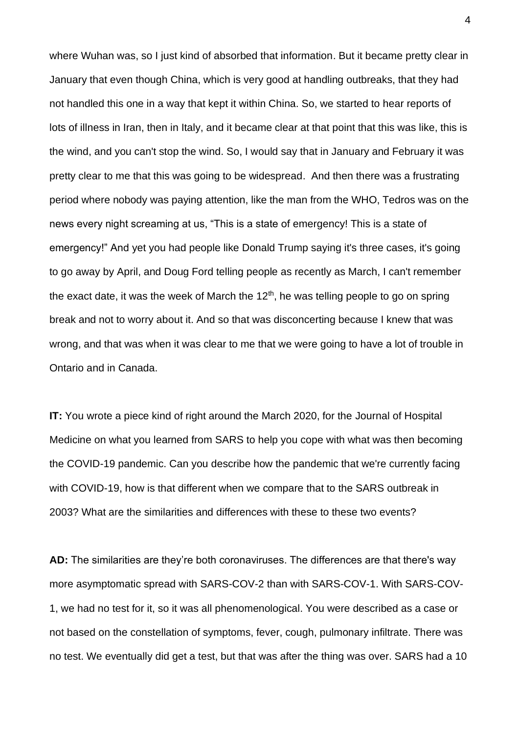where Wuhan was, so I just kind of absorbed that information. But it became pretty clear in January that even though China, which is very good at handling outbreaks, that they had not handled this one in a way that kept it within China. So, we started to hear reports of lots of illness in Iran, then in Italy, and it became clear at that point that this was like, this is the wind, and you can't stop the wind. So, I would say that in January and February it was pretty clear to me that this was going to be widespread. And then there was a frustrating period where nobody was paying attention, like the man from the WHO, Tedros was on the news every night screaming at us, "This is a state of emergency! This is a state of emergency!" And yet you had people like Donald Trump saying it's three cases, it's going to go away by April, and Doug Ford telling people as recently as March, I can't remember the exact date, it was the week of March the  $12<sup>th</sup>$ , he was telling people to go on spring break and not to worry about it. And so that was disconcerting because I knew that was wrong, and that was when it was clear to me that we were going to have a lot of trouble in Ontario and in Canada.

**IT:** You wrote a piece kind of right around the March 2020, for the Journal of Hospital Medicine on what you learned from SARS to help you cope with what was then becoming the COVID-19 pandemic. Can you describe how the pandemic that we're currently facing with COVID-19, how is that different when we compare that to the SARS outbreak in 2003? What are the similarities and differences with these to these two events?

**AD:** The similarities are they're both coronaviruses. The differences are that there's way more asymptomatic spread with SARS-COV-2 than with SARS-COV-1. With SARS-COV-1, we had no test for it, so it was all phenomenological. You were described as a case or not based on the constellation of symptoms, fever, cough, pulmonary infiltrate. There was no test. We eventually did get a test, but that was after the thing was over. SARS had a 10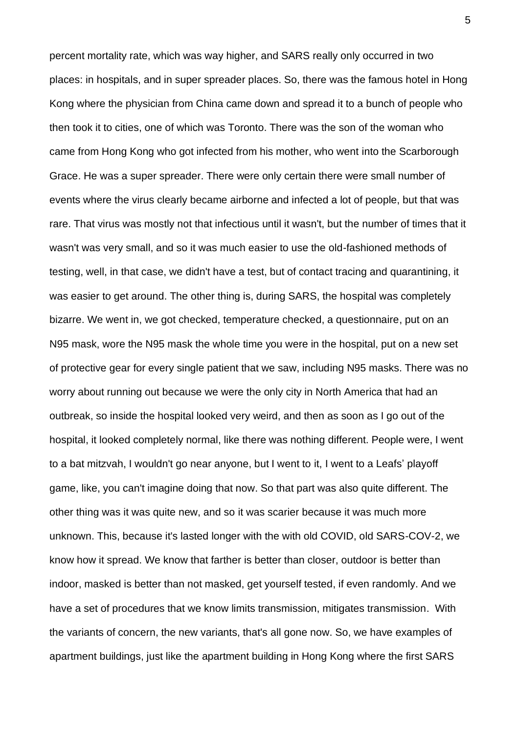percent mortality rate, which was way higher, and SARS really only occurred in two places: in hospitals, and in super spreader places. So, there was the famous hotel in Hong Kong where the physician from China came down and spread it to a bunch of people who then took it to cities, one of which was Toronto. There was the son of the woman who came from Hong Kong who got infected from his mother, who went into the Scarborough Grace. He was a super spreader. There were only certain there were small number of events where the virus clearly became airborne and infected a lot of people, but that was rare. That virus was mostly not that infectious until it wasn't, but the number of times that it wasn't was very small, and so it was much easier to use the old-fashioned methods of testing, well, in that case, we didn't have a test, but of contact tracing and quarantining, it was easier to get around. The other thing is, during SARS, the hospital was completely bizarre. We went in, we got checked, temperature checked, a questionnaire, put on an N95 mask, wore the N95 mask the whole time you were in the hospital, put on a new set of protective gear for every single patient that we saw, including N95 masks. There was no worry about running out because we were the only city in North America that had an outbreak, so inside the hospital looked very weird, and then as soon as I go out of the hospital, it looked completely normal, like there was nothing different. People were, I went to a bat mitzvah, I wouldn't go near anyone, but I went to it, I went to a Leafs' playoff game, like, you can't imagine doing that now. So that part was also quite different. The other thing was it was quite new, and so it was scarier because it was much more unknown. This, because it's lasted longer with the with old COVID, old SARS-COV-2, we know how it spread. We know that farther is better than closer, outdoor is better than indoor, masked is better than not masked, get yourself tested, if even randomly. And we have a set of procedures that we know limits transmission, mitigates transmission. With the variants of concern, the new variants, that's all gone now. So, we have examples of apartment buildings, just like the apartment building in Hong Kong where the first SARS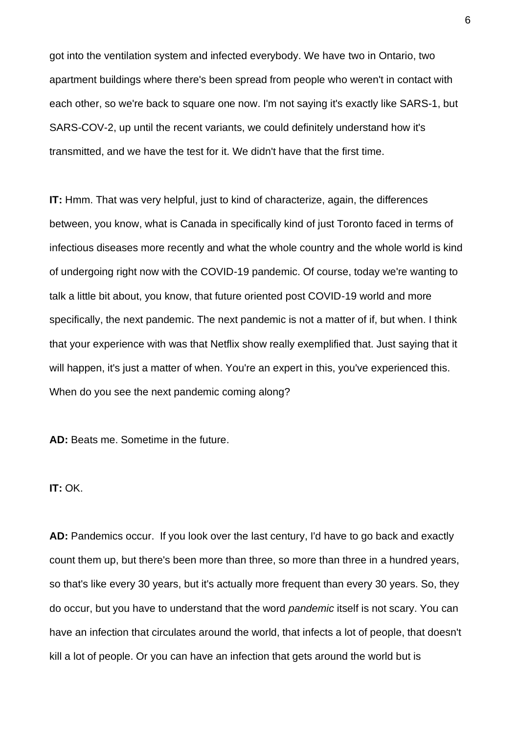got into the ventilation system and infected everybody. We have two in Ontario, two apartment buildings where there's been spread from people who weren't in contact with each other, so we're back to square one now. I'm not saying it's exactly like SARS-1, but SARS-COV-2, up until the recent variants, we could definitely understand how it's transmitted, and we have the test for it. We didn't have that the first time.

**IT:** Hmm. That was very helpful, just to kind of characterize, again, the differences between, you know, what is Canada in specifically kind of just Toronto faced in terms of infectious diseases more recently and what the whole country and the whole world is kind of undergoing right now with the COVID-19 pandemic. Of course, today we're wanting to talk a little bit about, you know, that future oriented post COVID-19 world and more specifically, the next pandemic. The next pandemic is not a matter of if, but when. I think that your experience with was that Netflix show really exemplified that. Just saying that it will happen, it's just a matter of when. You're an expert in this, you've experienced this. When do you see the next pandemic coming along?

**AD:** Beats me. Sometime in the future.

## **IT:** OK.

**AD:** Pandemics occur. If you look over the last century, I'd have to go back and exactly count them up, but there's been more than three, so more than three in a hundred years, so that's like every 30 years, but it's actually more frequent than every 30 years. So, they do occur, but you have to understand that the word *pandemic* itself is not scary. You can have an infection that circulates around the world, that infects a lot of people, that doesn't kill a lot of people. Or you can have an infection that gets around the world but is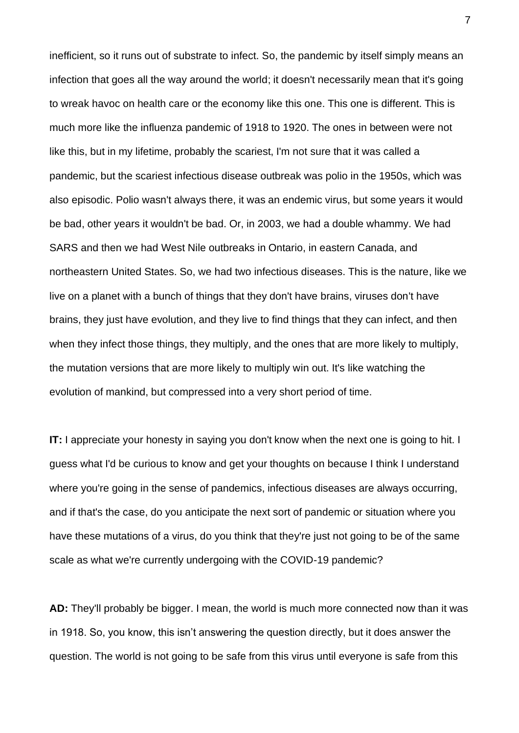inefficient, so it runs out of substrate to infect. So, the pandemic by itself simply means an infection that goes all the way around the world; it doesn't necessarily mean that it's going to wreak havoc on health care or the economy like this one. This one is different. This is much more like the influenza pandemic of 1918 to 1920. The ones in between were not like this, but in my lifetime, probably the scariest, I'm not sure that it was called a pandemic, but the scariest infectious disease outbreak was polio in the 1950s, which was also episodic. Polio wasn't always there, it was an endemic virus, but some years it would be bad, other years it wouldn't be bad. Or, in 2003, we had a double whammy. We had SARS and then we had West Nile outbreaks in Ontario, in eastern Canada, and northeastern United States. So, we had two infectious diseases. This is the nature, like we live on a planet with a bunch of things that they don't have brains, viruses don't have brains, they just have evolution, and they live to find things that they can infect, and then when they infect those things, they multiply, and the ones that are more likely to multiply, the mutation versions that are more likely to multiply win out. It's like watching the evolution of mankind, but compressed into a very short period of time.

**IT:** I appreciate your honesty in saying you don't know when the next one is going to hit. I guess what I'd be curious to know and get your thoughts on because I think I understand where you're going in the sense of pandemics, infectious diseases are always occurring, and if that's the case, do you anticipate the next sort of pandemic or situation where you have these mutations of a virus, do you think that they're just not going to be of the same scale as what we're currently undergoing with the COVID-19 pandemic?

**AD:** They'll probably be bigger. I mean, the world is much more connected now than it was in 1918. So, you know, this isn't answering the question directly, but it does answer the question. The world is not going to be safe from this virus until everyone is safe from this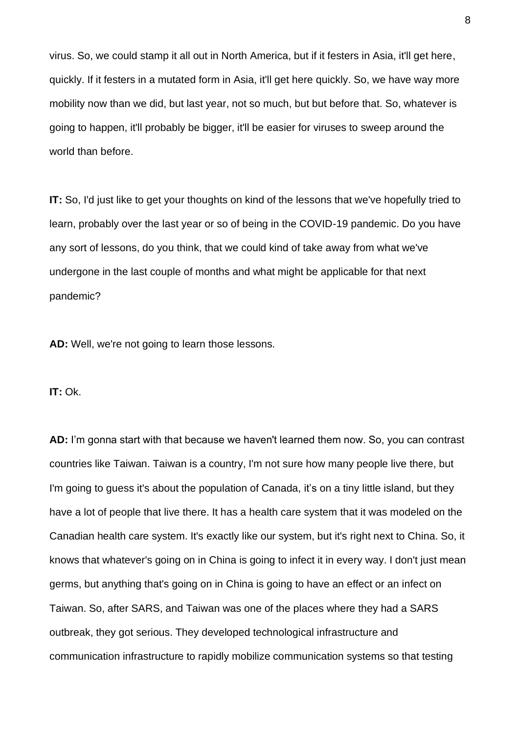virus. So, we could stamp it all out in North America, but if it festers in Asia, it'll get here, quickly. If it festers in a mutated form in Asia, it'll get here quickly. So, we have way more mobility now than we did, but last year, not so much, but but before that. So, whatever is going to happen, it'll probably be bigger, it'll be easier for viruses to sweep around the world than before.

**IT:** So, I'd just like to get your thoughts on kind of the lessons that we've hopefully tried to learn, probably over the last year or so of being in the COVID-19 pandemic. Do you have any sort of lessons, do you think, that we could kind of take away from what we've undergone in the last couple of months and what might be applicable for that next pandemic?

**AD:** Well, we're not going to learn those lessons.

**IT:** Ok.

**AD:** I'm gonna start with that because we haven't learned them now. So, you can contrast countries like Taiwan. Taiwan is a country, I'm not sure how many people live there, but I'm going to guess it's about the population of Canada, it's on a tiny little island, but they have a lot of people that live there. It has a health care system that it was modeled on the Canadian health care system. It's exactly like our system, but it's right next to China. So, it knows that whatever's going on in China is going to infect it in every way. I don't just mean germs, but anything that's going on in China is going to have an effect or an infect on Taiwan. So, after SARS, and Taiwan was one of the places where they had a SARS outbreak, they got serious. They developed technological infrastructure and communication infrastructure to rapidly mobilize communication systems so that testing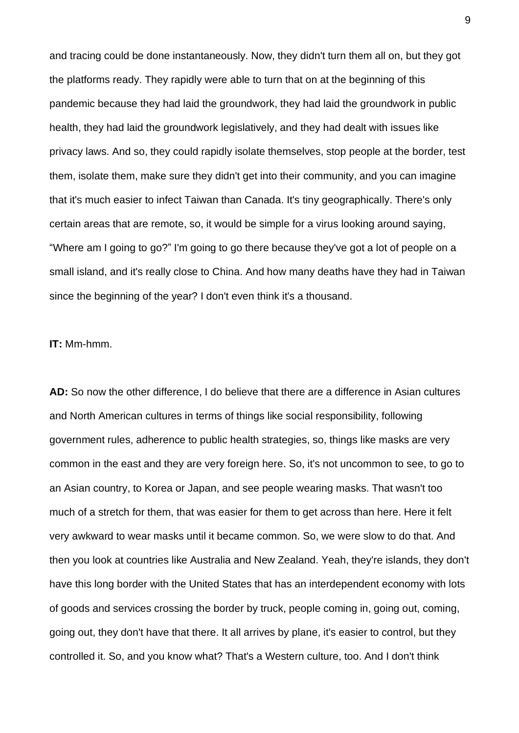and tracing could be done instantaneously. Now, they didn't turn them all on, but they got the platforms ready. They rapidly were able to turn that on at the beginning of this pandemic because they had laid the groundwork, they had laid the groundwork in public health, they had laid the groundwork legislatively, and they had dealt with issues like privacy laws. And so, they could rapidly isolate themselves, stop people at the border, test them, isolate them, make sure they didn't get into their community, and you can imagine that it's much easier to infect Taiwan than Canada. It's tiny geographically. There's only certain areas that are remote, so, it would be simple for a virus looking around saying, "Where am I going to go?" I'm going to go there because they've got a lot of people on a small island, and it's really close to China. And how many deaths have they had in Taiwan since the beginning of the year? I don't even think it's a thousand.

## **IT:** Mm-hmm.

**AD:** So now the other difference, I do believe that there are a difference in Asian cultures and North American cultures in terms of things like social responsibility, following government rules, adherence to public health strategies, so, things like masks are very common in the east and they are very foreign here. So, it's not uncommon to see, to go to an Asian country, to Korea or Japan, and see people wearing masks. That wasn't too much of a stretch for them, that was easier for them to get across than here. Here it felt very awkward to wear masks until it became common. So, we were slow to do that. And then you look at countries like Australia and New Zealand. Yeah, they're islands, they don't have this long border with the United States that has an interdependent economy with lots of goods and services crossing the border by truck, people coming in, going out, coming, going out, they don't have that there. It all arrives by plane, it's easier to control, but they controlled it. So, and you know what? That's a Western culture, too. And I don't think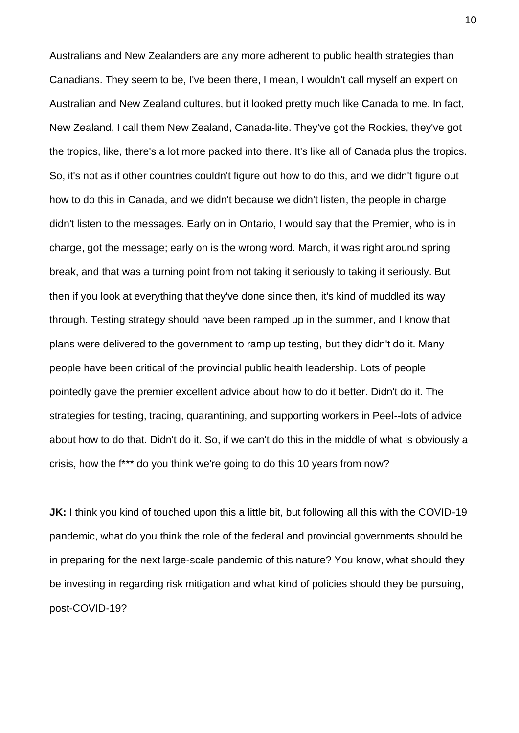Australians and New Zealanders are any more adherent to public health strategies than Canadians. They seem to be, I've been there, I mean, I wouldn't call myself an expert on Australian and New Zealand cultures, but it looked pretty much like Canada to me. In fact, New Zealand, I call them New Zealand, Canada-lite. They've got the Rockies, they've got the tropics, like, there's a lot more packed into there. It's like all of Canada plus the tropics. So, it's not as if other countries couldn't figure out how to do this, and we didn't figure out how to do this in Canada, and we didn't because we didn't listen, the people in charge didn't listen to the messages. Early on in Ontario, I would say that the Premier, who is in charge, got the message; early on is the wrong word. March, it was right around spring break, and that was a turning point from not taking it seriously to taking it seriously. But then if you look at everything that they've done since then, it's kind of muddled its way through. Testing strategy should have been ramped up in the summer, and I know that plans were delivered to the government to ramp up testing, but they didn't do it. Many people have been critical of the provincial public health leadership. Lots of people pointedly gave the premier excellent advice about how to do it better. Didn't do it. The strategies for testing, tracing, quarantining, and supporting workers in Peel--lots of advice about how to do that. Didn't do it. So, if we can't do this in the middle of what is obviously a crisis, how the f\*\*\* do you think we're going to do this 10 years from now?

**JK:** I think you kind of touched upon this a little bit, but following all this with the COVID-19 pandemic, what do you think the role of the federal and provincial governments should be in preparing for the next large-scale pandemic of this nature? You know, what should they be investing in regarding risk mitigation and what kind of policies should they be pursuing, post-COVID-19?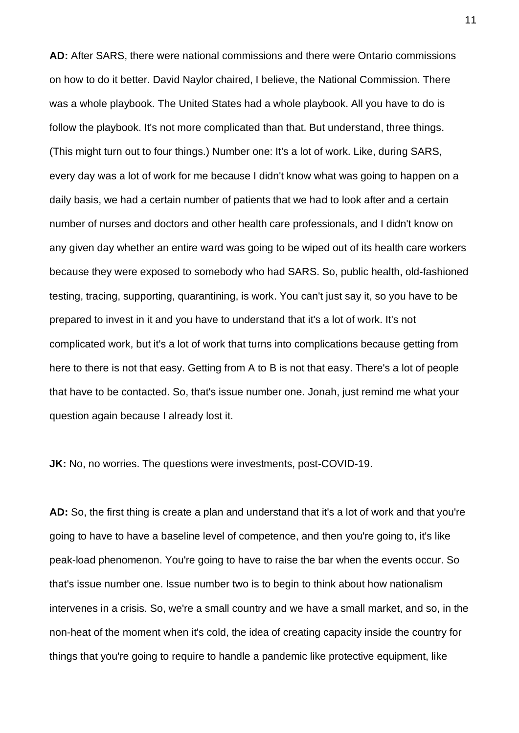**AD:** After SARS, there were national commissions and there were Ontario commissions on how to do it better. David Naylor chaired, I believe, the National Commission. There was a whole playbook. The United States had a whole playbook. All you have to do is follow the playbook. It's not more complicated than that. But understand, three things. (This might turn out to four things.) Number one: It's a lot of work. Like, during SARS, every day was a lot of work for me because I didn't know what was going to happen on a daily basis, we had a certain number of patients that we had to look after and a certain number of nurses and doctors and other health care professionals, and I didn't know on any given day whether an entire ward was going to be wiped out of its health care workers because they were exposed to somebody who had SARS. So, public health, old-fashioned testing, tracing, supporting, quarantining, is work. You can't just say it, so you have to be prepared to invest in it and you have to understand that it's a lot of work. It's not complicated work, but it's a lot of work that turns into complications because getting from here to there is not that easy. Getting from A to B is not that easy. There's a lot of people that have to be contacted. So, that's issue number one. Jonah, just remind me what your question again because I already lost it.

**JK:** No, no worries. The questions were investments, post-COVID-19.

**AD:** So, the first thing is create a plan and understand that it's a lot of work and that you're going to have to have a baseline level of competence, and then you're going to, it's like peak-load phenomenon. You're going to have to raise the bar when the events occur. So that's issue number one. Issue number two is to begin to think about how nationalism intervenes in a crisis. So, we're a small country and we have a small market, and so, in the non-heat of the moment when it's cold, the idea of creating capacity inside the country for things that you're going to require to handle a pandemic like protective equipment, like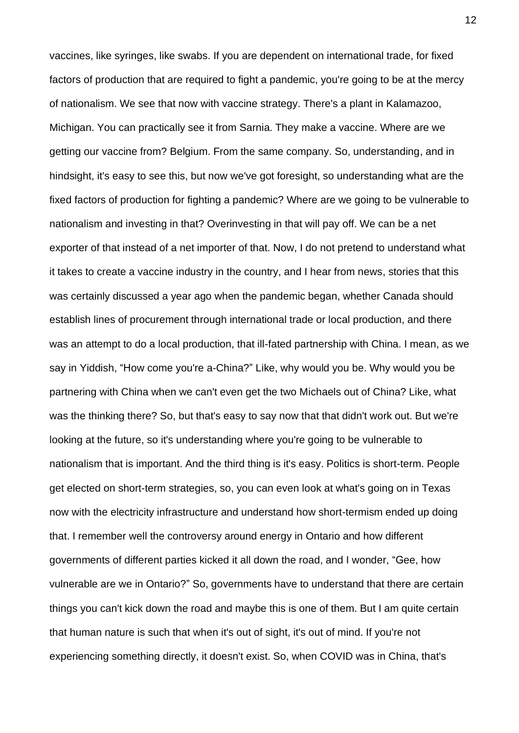vaccines, like syringes, like swabs. If you are dependent on international trade, for fixed factors of production that are required to fight a pandemic, you're going to be at the mercy of nationalism. We see that now with vaccine strategy. There's a plant in Kalamazoo, Michigan. You can practically see it from Sarnia. They make a vaccine. Where are we getting our vaccine from? Belgium. From the same company. So, understanding, and in hindsight, it's easy to see this, but now we've got foresight, so understanding what are the fixed factors of production for fighting a pandemic? Where are we going to be vulnerable to nationalism and investing in that? Overinvesting in that will pay off. We can be a net exporter of that instead of a net importer of that. Now, I do not pretend to understand what it takes to create a vaccine industry in the country, and I hear from news, stories that this was certainly discussed a year ago when the pandemic began, whether Canada should establish lines of procurement through international trade or local production, and there was an attempt to do a local production, that ill-fated partnership with China. I mean, as we say in Yiddish, "How come you're a-China?" Like, why would you be. Why would you be partnering with China when we can't even get the two Michaels out of China? Like, what was the thinking there? So, but that's easy to say now that that didn't work out. But we're looking at the future, so it's understanding where you're going to be vulnerable to nationalism that is important. And the third thing is it's easy. Politics is short-term. People get elected on short-term strategies, so, you can even look at what's going on in Texas now with the electricity infrastructure and understand how short-termism ended up doing that. I remember well the controversy around energy in Ontario and how different governments of different parties kicked it all down the road, and I wonder, "Gee, how vulnerable are we in Ontario?" So, governments have to understand that there are certain things you can't kick down the road and maybe this is one of them. But I am quite certain that human nature is such that when it's out of sight, it's out of mind. If you're not experiencing something directly, it doesn't exist. So, when COVID was in China, that's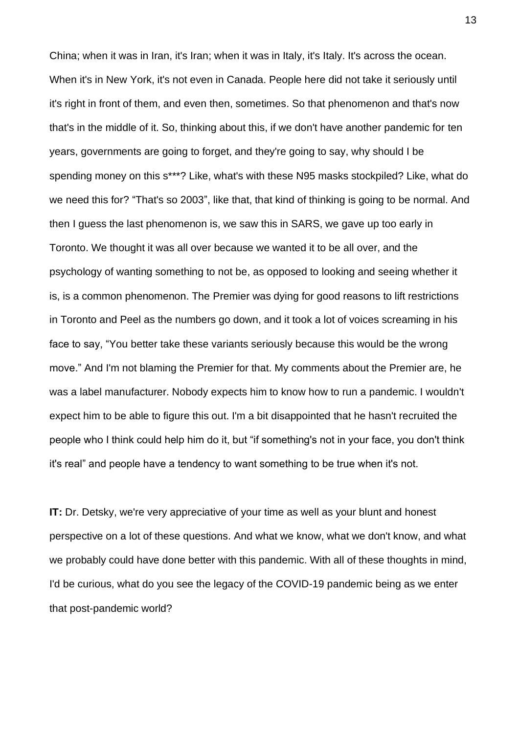China; when it was in Iran, it's Iran; when it was in Italy, it's Italy. It's across the ocean. When it's in New York, it's not even in Canada. People here did not take it seriously until it's right in front of them, and even then, sometimes. So that phenomenon and that's now that's in the middle of it. So, thinking about this, if we don't have another pandemic for ten years, governments are going to forget, and they're going to say, why should I be spending money on this s\*\*\*? Like, what's with these N95 masks stockpiled? Like, what do we need this for? "That's so 2003", like that, that kind of thinking is going to be normal. And then I guess the last phenomenon is, we saw this in SARS, we gave up too early in Toronto. We thought it was all over because we wanted it to be all over, and the psychology of wanting something to not be, as opposed to looking and seeing whether it is, is a common phenomenon. The Premier was dying for good reasons to lift restrictions in Toronto and Peel as the numbers go down, and it took a lot of voices screaming in his face to say, "You better take these variants seriously because this would be the wrong move." And I'm not blaming the Premier for that. My comments about the Premier are, he was a label manufacturer. Nobody expects him to know how to run a pandemic. I wouldn't expect him to be able to figure this out. I'm a bit disappointed that he hasn't recruited the people who I think could help him do it, but "if something's not in your face, you don't think it's real" and people have a tendency to want something to be true when it's not.

**IT:** Dr. Detsky, we're very appreciative of your time as well as your blunt and honest perspective on a lot of these questions. And what we know, what we don't know, and what we probably could have done better with this pandemic. With all of these thoughts in mind, I'd be curious, what do you see the legacy of the COVID-19 pandemic being as we enter that post-pandemic world?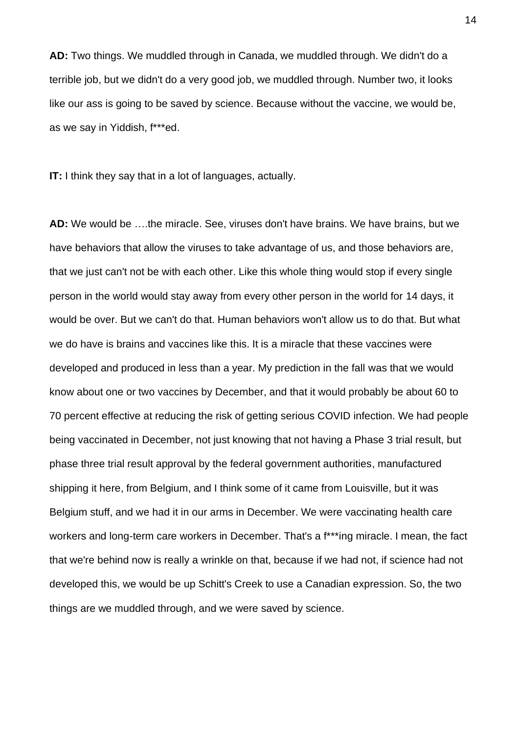**AD:** Two things. We muddled through in Canada, we muddled through. We didn't do a terrible job, but we didn't do a very good job, we muddled through. Number two, it looks like our ass is going to be saved by science. Because without the vaccine, we would be, as we say in Yiddish, f\*\*\*ed.

**IT:** I think they say that in a lot of languages, actually.

**AD:** We would be ….the miracle. See, viruses don't have brains. We have brains, but we have behaviors that allow the viruses to take advantage of us, and those behaviors are, that we just can't not be with each other. Like this whole thing would stop if every single person in the world would stay away from every other person in the world for 14 days, it would be over. But we can't do that. Human behaviors won't allow us to do that. But what we do have is brains and vaccines like this. It is a miracle that these vaccines were developed and produced in less than a year. My prediction in the fall was that we would know about one or two vaccines by December, and that it would probably be about 60 to 70 percent effective at reducing the risk of getting serious COVID infection. We had people being vaccinated in December, not just knowing that not having a Phase 3 trial result, but phase three trial result approval by the federal government authorities, manufactured shipping it here, from Belgium, and I think some of it came from Louisville, but it was Belgium stuff, and we had it in our arms in December. We were vaccinating health care workers and long-term care workers in December. That's a f\*\*\*ing miracle. I mean, the fact that we're behind now is really a wrinkle on that, because if we had not, if science had not developed this, we would be up Schitt's Creek to use a Canadian expression. So, the two things are we muddled through, and we were saved by science.